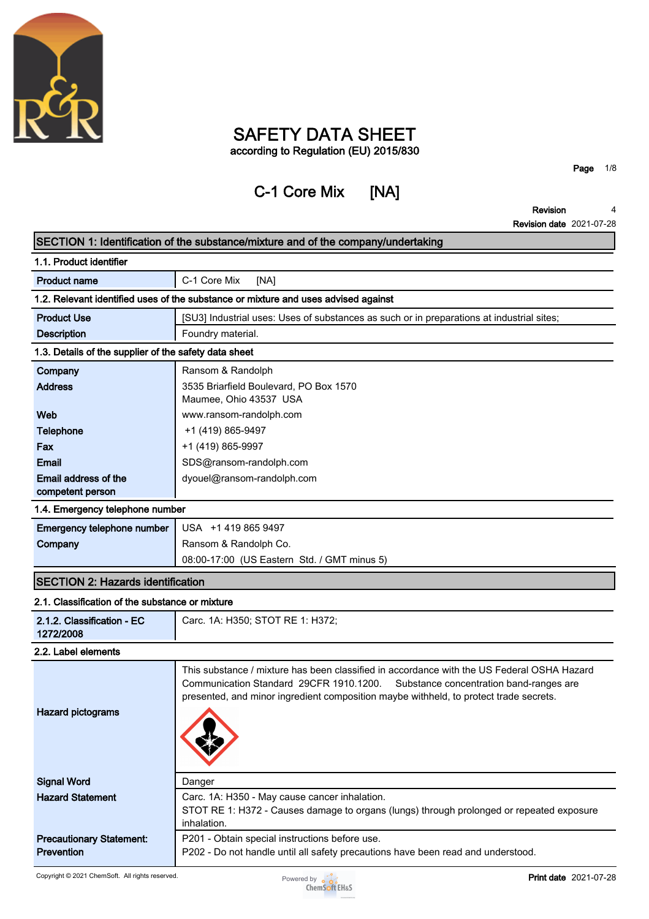

# **SAFETY DATA SHEET according to Regulation (EU) 2015/830**

# **C-1 Core Mix [NA]**

**Page 1/8**

**Revision Revision date 2021-07-28 4**

|                                                       | SECTION 1: Identification of the substance/mixture and of the company/undertaking                                                                                                                                                                                         |
|-------------------------------------------------------|---------------------------------------------------------------------------------------------------------------------------------------------------------------------------------------------------------------------------------------------------------------------------|
| 1.1. Product identifier                               |                                                                                                                                                                                                                                                                           |
| <b>Product name</b>                                   | C-1 Core Mix<br>[NA]                                                                                                                                                                                                                                                      |
|                                                       | 1.2. Relevant identified uses of the substance or mixture and uses advised against                                                                                                                                                                                        |
| <b>Product Use</b>                                    | [SU3] Industrial uses: Uses of substances as such or in preparations at industrial sites;                                                                                                                                                                                 |
| <b>Description</b>                                    | Foundry material.                                                                                                                                                                                                                                                         |
| 1.3. Details of the supplier of the safety data sheet |                                                                                                                                                                                                                                                                           |
| Company                                               | Ransom & Randolph                                                                                                                                                                                                                                                         |
| <b>Address</b>                                        | 3535 Briarfield Boulevard, PO Box 1570                                                                                                                                                                                                                                    |
|                                                       | Maumee, Ohio 43537 USA                                                                                                                                                                                                                                                    |
| Web                                                   | www.ransom-randolph.com                                                                                                                                                                                                                                                   |
| <b>Telephone</b>                                      | +1 (419) 865-9497                                                                                                                                                                                                                                                         |
| Fax                                                   | +1 (419) 865-9997                                                                                                                                                                                                                                                         |
| <b>Email</b>                                          | SDS@ransom-randolph.com                                                                                                                                                                                                                                                   |
| Email address of the                                  | dyouel@ransom-randolph.com                                                                                                                                                                                                                                                |
| competent person                                      |                                                                                                                                                                                                                                                                           |
| 1.4. Emergency telephone number                       |                                                                                                                                                                                                                                                                           |
| Emergency telephone number                            | USA +1 419 865 9497                                                                                                                                                                                                                                                       |
| Company                                               | Ransom & Randolph Co.                                                                                                                                                                                                                                                     |
|                                                       | 08:00-17:00 (US Eastern Std. / GMT minus 5)                                                                                                                                                                                                                               |
| <b>SECTION 2: Hazards identification</b>              |                                                                                                                                                                                                                                                                           |
| 2.1. Classification of the substance or mixture       |                                                                                                                                                                                                                                                                           |
| 2.1.2. Classification - EC<br>1272/2008               | Carc. 1A: H350; STOT RE 1: H372;                                                                                                                                                                                                                                          |
| 2.2. Label elements                                   |                                                                                                                                                                                                                                                                           |
| <b>Hazard pictograms</b>                              | This substance / mixture has been classified in accordance with the US Federal OSHA Hazard<br>Communication Standard 29CFR 1910.1200.<br>Substance concentration band-ranges are<br>presented, and minor ingredient composition maybe withheld, to protect trade secrets. |
| <b>Signal Word</b>                                    | Danger                                                                                                                                                                                                                                                                    |
| <b>Hazard Statement</b>                               | Carc. 1A: H350 - May cause cancer inhalation.                                                                                                                                                                                                                             |
|                                                       | STOT RE 1: H372 - Causes damage to organs (lungs) through prolonged or repeated exposure                                                                                                                                                                                  |
|                                                       | inhalation.                                                                                                                                                                                                                                                               |
| <b>Precautionary Statement:</b><br><b>Prevention</b>  | P201 - Obtain special instructions before use.<br>P202 - Do not handle until all safety precautions have been read and understood.                                                                                                                                        |
|                                                       |                                                                                                                                                                                                                                                                           |

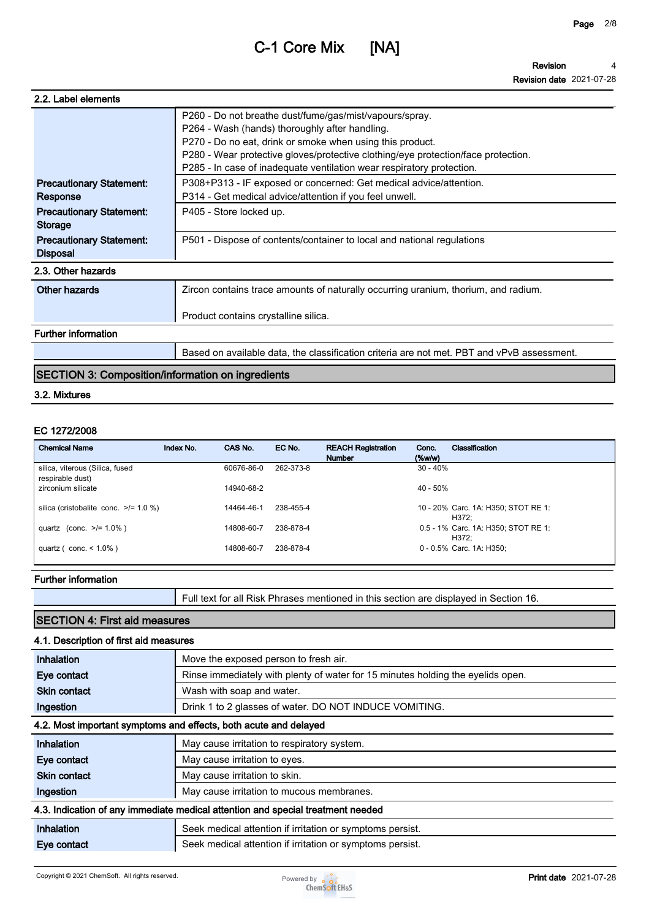**Revision Revision date 2021-07-28 4**

| 2.2. Label elements                                |                                                                                                                                                                                                                                                                                                                                      |
|----------------------------------------------------|--------------------------------------------------------------------------------------------------------------------------------------------------------------------------------------------------------------------------------------------------------------------------------------------------------------------------------------|
|                                                    | P260 - Do not breathe dust/fume/gas/mist/vapours/spray.<br>P264 - Wash (hands) thoroughly after handling.<br>P270 - Do no eat, drink or smoke when using this product.<br>P280 - Wear protective gloves/protective clothing/eye protection/face protection.<br>P285 - In case of inadequate ventilation wear respiratory protection. |
| <b>Precautionary Statement:</b><br>Response        | P308+P313 - IF exposed or concerned: Get medical advice/attention.<br>P314 - Get medical advice/attention if you feel unwell.                                                                                                                                                                                                        |
| <b>Precautionary Statement:</b><br><b>Storage</b>  | P405 - Store locked up.                                                                                                                                                                                                                                                                                                              |
| <b>Precautionary Statement:</b><br><b>Disposal</b> | P501 - Dispose of contents/container to local and national regulations                                                                                                                                                                                                                                                               |
| 2.3. Other hazards                                 |                                                                                                                                                                                                                                                                                                                                      |
| Other hazards                                      | Zircon contains trace amounts of naturally occurring uranium, thorium, and radium.                                                                                                                                                                                                                                                   |
|                                                    | Product contains crystalline silica.                                                                                                                                                                                                                                                                                                 |
| <b>Further information</b>                         |                                                                                                                                                                                                                                                                                                                                      |
|                                                    | Based on available data, the classification criteria are not met. PBT and vPvB assessment.                                                                                                                                                                                                                                           |

## **SECTION 3: Composition/information on ingredients**

#### **3.2. Mixtures**

### **EC 1272/2008**

| <b>Chemical Name</b>                                | Index No. | CAS No.    | EC No.    | <b>REACH Registration</b><br><b>Number</b> | Classification<br>Conc.<br>$(\%w/w)$         |  |
|-----------------------------------------------------|-----------|------------|-----------|--------------------------------------------|----------------------------------------------|--|
| silica, viterous (Silica, fused<br>respirable dust) |           | 60676-86-0 | 262-373-8 |                                            | $30 - 40%$                                   |  |
| zirconium silicate                                  |           | 14940-68-2 |           |                                            | $40 - 50%$                                   |  |
| silica (cristobalite conc. $\ge$ /= 1.0 %)          |           | 14464-46-1 | 238-455-4 |                                            | 10 - 20% Carc. 1A: H350; STOT RE 1:<br>H372: |  |
| quartz (conc. $>1.0\%$ )                            |           | 14808-60-7 | 238-878-4 |                                            | 0.5 - 1% Carc. 1A: H350; STOT RE 1:<br>H372: |  |
| quartz ( $\text{conc.} < 1.0\%$ )                   |           | 14808-60-7 | 238-878-4 |                                            | 0 - 0.5% Carc. 1A: H350;                     |  |

### **Further information**

**Full text for all Risk Phrases mentioned in this section are displayed in Section 16.**

# **SECTION 4: First aid measures**

### **4.1. Description of first aid measures**

| Inhalation                                                       | Move the exposed person to fresh air.                                           |  |  |
|------------------------------------------------------------------|---------------------------------------------------------------------------------|--|--|
| Eye contact                                                      | Rinse immediately with plenty of water for 15 minutes holding the eyelids open. |  |  |
| <b>Skin contact</b>                                              | Wash with soap and water.                                                       |  |  |
| Ingestion                                                        | Drink 1 to 2 glasses of water. DO NOT INDUCE VOMITING.                          |  |  |
| 4.2. Most important symptoms and effects, both acute and delayed |                                                                                 |  |  |
| Inhalation                                                       | May cause irritation to respiratory system.                                     |  |  |
| Eye contact                                                      | May cause irritation to eyes.                                                   |  |  |
| <b>Skin contact</b>                                              | May cause irritation to skin.                                                   |  |  |
| Ingestion                                                        | May cause irritation to mucous membranes.                                       |  |  |
|                                                                  | 4.3. Indication of any immediate medical attention and special treatment needed |  |  |
| Inhalation                                                       | Seek medical attention if irritation or symptoms persist.                       |  |  |
| Eye contact                                                      | Seek medical attention if irritation or symptoms persist.                       |  |  |

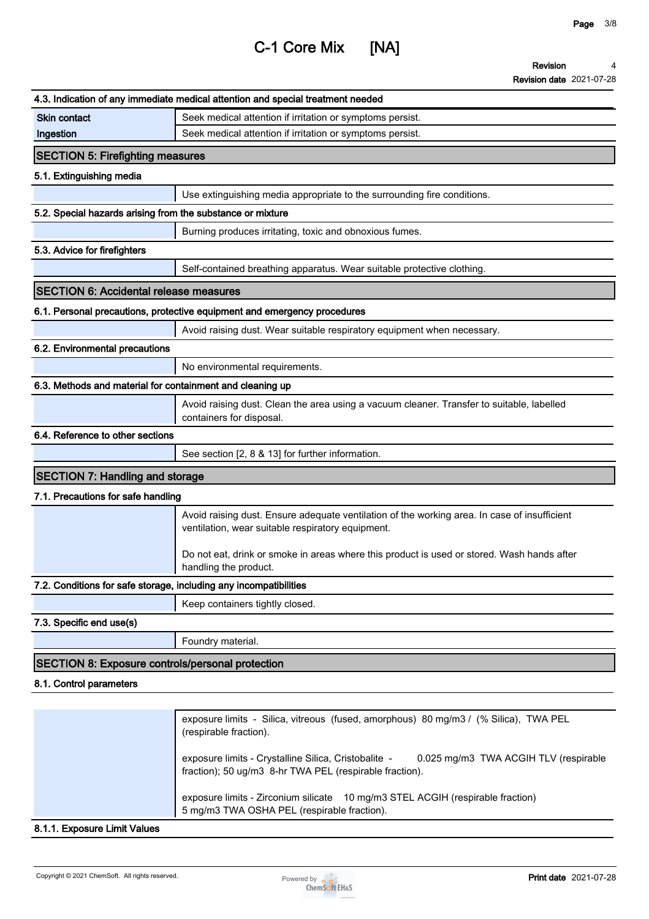**Revision 4**

| <b>Revision date 2021-07-28</b> |  |
|---------------------------------|--|
|---------------------------------|--|

|                                                                   | 4.3. Indication of any immediate medical attention and special treatment needed                                                                   |
|-------------------------------------------------------------------|---------------------------------------------------------------------------------------------------------------------------------------------------|
| <b>Skin contact</b>                                               |                                                                                                                                                   |
| Ingestion                                                         | Seek medical attention if irritation or symptoms persist.<br>Seek medical attention if irritation or symptoms persist.                            |
|                                                                   |                                                                                                                                                   |
| <b>SECTION 5: Firefighting measures</b>                           |                                                                                                                                                   |
| 5.1. Extinguishing media                                          |                                                                                                                                                   |
|                                                                   | Use extinguishing media appropriate to the surrounding fire conditions.                                                                           |
| 5.2. Special hazards arising from the substance or mixture        |                                                                                                                                                   |
|                                                                   | Burning produces irritating, toxic and obnoxious fumes.                                                                                           |
| 5.3. Advice for firefighters                                      |                                                                                                                                                   |
|                                                                   | Self-contained breathing apparatus. Wear suitable protective clothing.                                                                            |
| <b>SECTION 6: Accidental release measures</b>                     |                                                                                                                                                   |
|                                                                   | 6.1. Personal precautions, protective equipment and emergency procedures                                                                          |
|                                                                   | Avoid raising dust. Wear suitable respiratory equipment when necessary.                                                                           |
| 6.2. Environmental precautions                                    |                                                                                                                                                   |
|                                                                   | No environmental requirements.                                                                                                                    |
| 6.3. Methods and material for containment and cleaning up         |                                                                                                                                                   |
|                                                                   | Avoid raising dust. Clean the area using a vacuum cleaner. Transfer to suitable, labelled                                                         |
|                                                                   | containers for disposal.                                                                                                                          |
| 6.4. Reference to other sections                                  |                                                                                                                                                   |
|                                                                   | See section [2, 8 & 13] for further information.                                                                                                  |
| <b>SECTION 7: Handling and storage</b>                            |                                                                                                                                                   |
| 7.1. Precautions for safe handling                                |                                                                                                                                                   |
|                                                                   | Avoid raising dust. Ensure adequate ventilation of the working area. In case of insufficient<br>ventilation, wear suitable respiratory equipment. |
|                                                                   | Do not eat, drink or smoke in areas where this product is used or stored. Wash hands after<br>handling the product.                               |
| 7.2. Conditions for safe storage, including any incompatibilities |                                                                                                                                                   |
|                                                                   | Keep containers tightly closed.                                                                                                                   |
| 7.3. Specific end use(s)                                          |                                                                                                                                                   |
|                                                                   | Foundry material.                                                                                                                                 |
| <b>SECTION 8: Exposure controls/personal protection</b>           |                                                                                                                                                   |
| 8.1. Control parameters                                           |                                                                                                                                                   |
|                                                                   |                                                                                                                                                   |
|                                                                   | exposure limits - Silica, vitreous (fused, amorphous) 80 mg/m3 / (% Silica), TWA PEL<br>(respirable fraction).                                    |

**exposure limits - Crystalline Silica, Cristobalite - 0.025 mg/m3 TWA ACGIH TLV (respirable fraction); 50 ug/m3 8-hr TWA PEL (respirable fraction).**

**exposure limits - Zirconium silicate 10 mg/m3 STEL ACGIH (respirable fraction) 5 mg/m3 TWA OSHA PEL (respirable fraction).**

### **8.1.1. Exposure Limit Values**

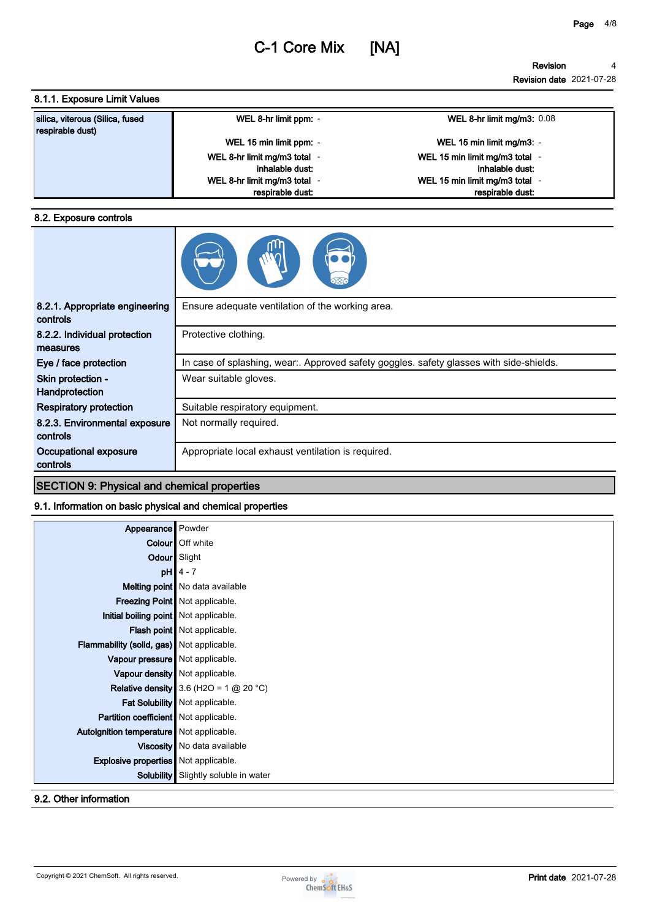### **8.1.1. Exposure Limit Values**

| silica, viterous (Silica, fused<br>respirable dust) | WEL 8-hr limit ppm: -      | WEL 8-hr limit mg/m3: $0.08$   |
|-----------------------------------------------------|----------------------------|--------------------------------|
|                                                     | WEL 15 min limit ppm: -    | WEL 15 min limit mg/m3: -      |
|                                                     | WEL 8-hr limit mg/m3 total | WEL 15 min limit mg/m3 total - |
|                                                     | inhalable dust:            | inhalable dust:                |
|                                                     | WEL 8-hr limit mg/m3 total | WEL 15 min limit mg/m3 total - |
|                                                     | respirable dust:           | respirable dust:               |

#### **8.2. Exposure controls**

| 8.2.1. Appropriate engineering<br>controls | Ensure adequate ventilation of the working area.                                        |
|--------------------------------------------|-----------------------------------------------------------------------------------------|
| 8.2.2. Individual protection<br>measures   | Protective clothing.                                                                    |
| Eye / face protection                      | In case of splashing, wear:. Approved safety goggles. safety glasses with side-shields. |
| Skin protection -<br>Handprotection        | Wear suitable gloves.                                                                   |
| <b>Respiratory protection</b>              | Suitable respiratory equipment.                                                         |
| 8.2.3. Environmental exposure<br>controls  | Not normally required.                                                                  |
| Occupational exposure<br>controls          | Appropriate local exhaust ventilation is required.                                      |

## **SECTION 9: Physical and chemical properties**

## **9.1. Information on basic physical and chemical properties**

| Appearance Powder                           |                                          |
|---------------------------------------------|------------------------------------------|
|                                             | <b>Colour</b> Off white                  |
| Odour Slight                                |                                          |
|                                             | $pH$ 4 - 7                               |
|                                             | Melting point   No data available        |
|                                             | Freezing Point Not applicable.           |
| Initial boiling point Not applicable.       |                                          |
|                                             | Flash point Not applicable.              |
| Flammability (solid, gas) Not applicable.   |                                          |
| Vapour pressure   Not applicable.           |                                          |
| Vapour density Not applicable.              |                                          |
|                                             | Relative density 3.6 (H2O = 1 $@$ 20 °C) |
|                                             | Fat Solubility Not applicable.           |
| Partition coefficient Not applicable.       |                                          |
| Autoignition temperature   Not applicable.  |                                          |
|                                             | Viscosity   No data available            |
| <b>Explosive properties</b> Not applicable. |                                          |
| Solubility                                  | Slightly soluble in water                |
|                                             |                                          |

**9.2. Other information**

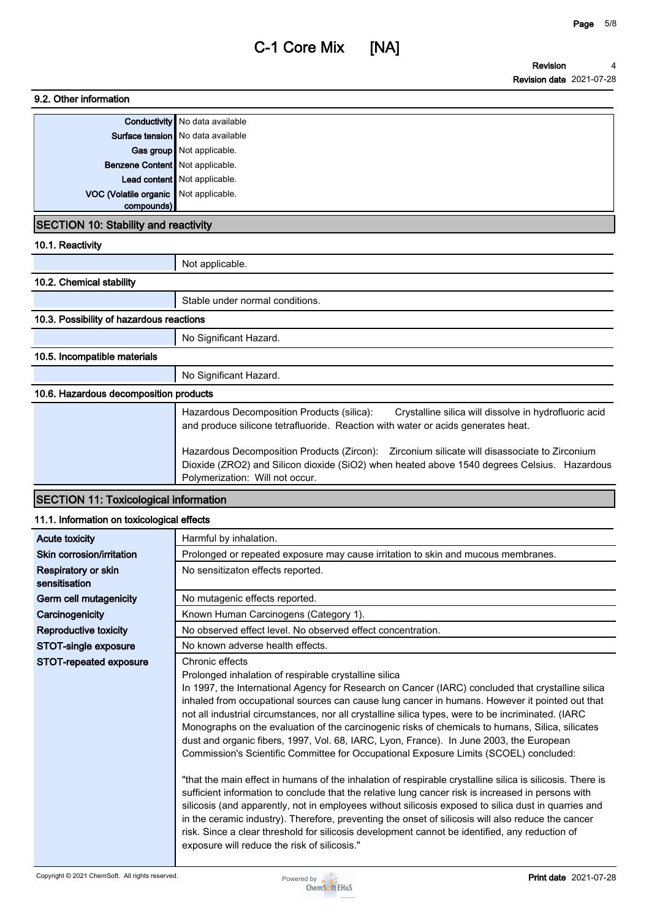# **9.2. Other information**

|                                        | Conductivity No data available      |
|----------------------------------------|-------------------------------------|
|                                        | Surface tension   No data available |
|                                        | Gas group Not applicable.           |
| <b>Benzene Content</b> Not applicable. |                                     |
|                                        | Lead content Not applicable.        |
| VOC (Volatile organic Not applicable.  |                                     |
| compounds)                             |                                     |

### **SECTION 10: Stability and reactivity**

**10.1. Reactivity**

|                          | Not applicable.                 |
|--------------------------|---------------------------------|
| 10.2. Chemical stability |                                 |
|                          | Stable under normal conditions. |
|                          |                                 |

## **10.3. Possibility of hazardous reactions**

**No Significant Hazard.**

## **10.5. Incompatible materials**

**No Significant Hazard.**

# **10.6. Hazardous decomposition products**

| Hazardous Decomposition Products (silica):<br>Crystalline silica will dissolve in hydrofluoric acid<br>and produce silicone tetrafluoride. Reaction with water or acids generates heat.                                        |
|--------------------------------------------------------------------------------------------------------------------------------------------------------------------------------------------------------------------------------|
| Hazardous Decomposition Products (Zircon): Zirconium silicate will disassociate to Zirconium<br>Dioxide (ZRO2) and Silicon dioxide (SiO2) when heated above 1540 degrees Celsius. Hazardous<br>Polymerization: Will not occur. |

# **SECTION 11: Toxicological information**

## **11.1. Information on toxicological effects**

| <b>Acute toxicity</b>                | Harmful by inhalation.                                                                                                                                                                                                                                                                                                                                                                                                                                                                                                                                                                                                                                                                                                                                                                                                                                                                                                                                                                                                                                                                                                                                                                                                                                           |
|--------------------------------------|------------------------------------------------------------------------------------------------------------------------------------------------------------------------------------------------------------------------------------------------------------------------------------------------------------------------------------------------------------------------------------------------------------------------------------------------------------------------------------------------------------------------------------------------------------------------------------------------------------------------------------------------------------------------------------------------------------------------------------------------------------------------------------------------------------------------------------------------------------------------------------------------------------------------------------------------------------------------------------------------------------------------------------------------------------------------------------------------------------------------------------------------------------------------------------------------------------------------------------------------------------------|
| Skin corrosion/irritation            | Prolonged or repeated exposure may cause irritation to skin and mucous membranes.                                                                                                                                                                                                                                                                                                                                                                                                                                                                                                                                                                                                                                                                                                                                                                                                                                                                                                                                                                                                                                                                                                                                                                                |
| Respiratory or skin<br>sensitisation | No sensitizaton effects reported.                                                                                                                                                                                                                                                                                                                                                                                                                                                                                                                                                                                                                                                                                                                                                                                                                                                                                                                                                                                                                                                                                                                                                                                                                                |
| Germ cell mutagenicity               | No mutagenic effects reported.                                                                                                                                                                                                                                                                                                                                                                                                                                                                                                                                                                                                                                                                                                                                                                                                                                                                                                                                                                                                                                                                                                                                                                                                                                   |
| Carcinogenicity                      | Known Human Carcinogens (Category 1).                                                                                                                                                                                                                                                                                                                                                                                                                                                                                                                                                                                                                                                                                                                                                                                                                                                                                                                                                                                                                                                                                                                                                                                                                            |
| Reproductive toxicity                | No observed effect level. No observed effect concentration.                                                                                                                                                                                                                                                                                                                                                                                                                                                                                                                                                                                                                                                                                                                                                                                                                                                                                                                                                                                                                                                                                                                                                                                                      |
| STOT-single exposure                 | No known adverse health effects.                                                                                                                                                                                                                                                                                                                                                                                                                                                                                                                                                                                                                                                                                                                                                                                                                                                                                                                                                                                                                                                                                                                                                                                                                                 |
| STOT-repeated exposure               | Chronic effects<br>Prolonged inhalation of respirable crystalline silica<br>In 1997, the International Agency for Research on Cancer (IARC) concluded that crystalline silica<br>inhaled from occupational sources can cause lung cancer in humans. However it pointed out that<br>not all industrial circumstances, nor all crystalline silica types, were to be incriminated. (IARC<br>Monographs on the evaluation of the carcinogenic risks of chemicals to humans, Silica, silicates<br>dust and organic fibers, 1997, Vol. 68, IARC, Lyon, France). In June 2003, the European<br>Commission's Scientific Committee for Occupational Exposure Limits (SCOEL) concluded:<br>"that the main effect in humans of the inhalation of respirable crystalline silica is silicosis. There is<br>sufficient information to conclude that the relative lung cancer risk is increased in persons with<br>silicosis (and apparently, not in employees without silicosis exposed to silica dust in quarries and<br>in the ceramic industry). Therefore, preventing the onset of silicosis will also reduce the cancer<br>risk. Since a clear threshold for silicosis development cannot be identified, any reduction of<br>exposure will reduce the risk of silicosis." |

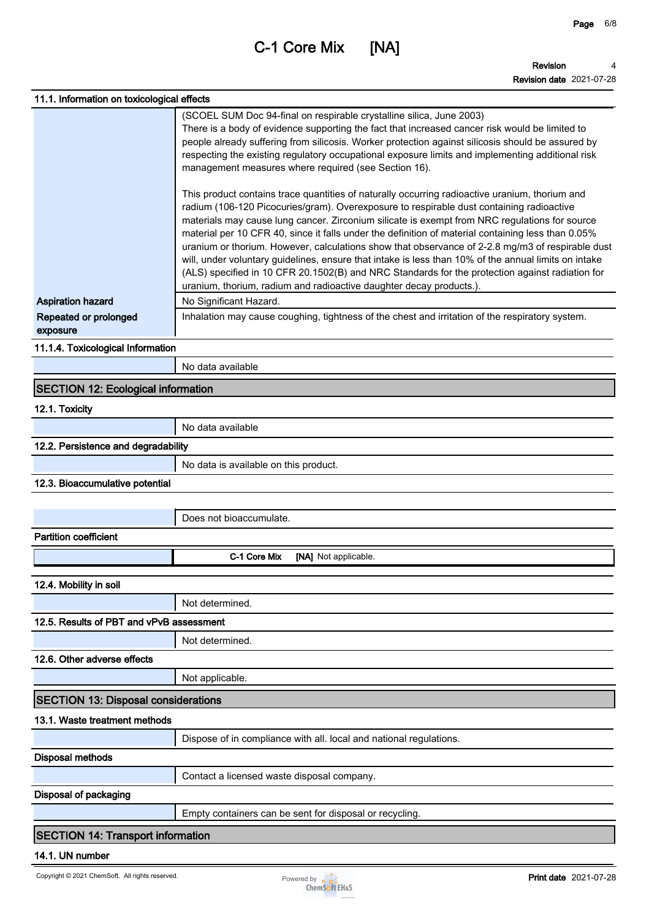**Page 6/8**

| 11.1. Information on toxicological effects |                                                                                                                                                                                                                                                                                                                                                                                                                                                                                                                                                                                                                                                                                                                                                                                         |
|--------------------------------------------|-----------------------------------------------------------------------------------------------------------------------------------------------------------------------------------------------------------------------------------------------------------------------------------------------------------------------------------------------------------------------------------------------------------------------------------------------------------------------------------------------------------------------------------------------------------------------------------------------------------------------------------------------------------------------------------------------------------------------------------------------------------------------------------------|
|                                            | (SCOEL SUM Doc 94-final on respirable crystalline silica, June 2003)                                                                                                                                                                                                                                                                                                                                                                                                                                                                                                                                                                                                                                                                                                                    |
|                                            | There is a body of evidence supporting the fact that increased cancer risk would be limited to                                                                                                                                                                                                                                                                                                                                                                                                                                                                                                                                                                                                                                                                                          |
|                                            | people already suffering from silicosis. Worker protection against silicosis should be assured by<br>respecting the existing regulatory occupational exposure limits and implementing additional risk<br>management measures where required (see Section 16).                                                                                                                                                                                                                                                                                                                                                                                                                                                                                                                           |
|                                            | This product contains trace quantities of naturally occurring radioactive uranium, thorium and<br>radium (106-120 Picocuries/gram). Overexposure to respirable dust containing radioactive<br>materials may cause lung cancer. Zirconium silicate is exempt from NRC regulations for source<br>material per 10 CFR 40, since it falls under the definition of material containing less than 0.05%<br>uranium or thorium. However, calculations show that observance of 2-2.8 mg/m3 of respirable dust<br>will, under voluntary guidelines, ensure that intake is less than 10% of the annual limits on intake<br>(ALS) specified in 10 CFR 20.1502(B) and NRC Standards for the protection against radiation for<br>uranium, thorium, radium and radioactive daughter decay products.). |
| <b>Aspiration hazard</b>                   | No Significant Hazard.                                                                                                                                                                                                                                                                                                                                                                                                                                                                                                                                                                                                                                                                                                                                                                  |
| Repeated or prolonged<br>exposure          | Inhalation may cause coughing, tightness of the chest and irritation of the respiratory system.                                                                                                                                                                                                                                                                                                                                                                                                                                                                                                                                                                                                                                                                                         |
| 11.1.4. Toxicological Information          |                                                                                                                                                                                                                                                                                                                                                                                                                                                                                                                                                                                                                                                                                                                                                                                         |
|                                            | No data available                                                                                                                                                                                                                                                                                                                                                                                                                                                                                                                                                                                                                                                                                                                                                                       |
| <b>SECTION 12: Ecological information</b>  |                                                                                                                                                                                                                                                                                                                                                                                                                                                                                                                                                                                                                                                                                                                                                                                         |
| 12.1. Toxicity                             |                                                                                                                                                                                                                                                                                                                                                                                                                                                                                                                                                                                                                                                                                                                                                                                         |
|                                            | No data available                                                                                                                                                                                                                                                                                                                                                                                                                                                                                                                                                                                                                                                                                                                                                                       |
| 12.2. Persistence and degradability        |                                                                                                                                                                                                                                                                                                                                                                                                                                                                                                                                                                                                                                                                                                                                                                                         |
|                                            | No data is available on this product.                                                                                                                                                                                                                                                                                                                                                                                                                                                                                                                                                                                                                                                                                                                                                   |
| 12.3. Bioaccumulative potential            |                                                                                                                                                                                                                                                                                                                                                                                                                                                                                                                                                                                                                                                                                                                                                                                         |
|                                            |                                                                                                                                                                                                                                                                                                                                                                                                                                                                                                                                                                                                                                                                                                                                                                                         |
|                                            | Does not bioaccumulate.                                                                                                                                                                                                                                                                                                                                                                                                                                                                                                                                                                                                                                                                                                                                                                 |
| <b>Partition coefficient</b>               |                                                                                                                                                                                                                                                                                                                                                                                                                                                                                                                                                                                                                                                                                                                                                                                         |
|                                            | C-1 Core Mix<br>[NA] Not applicable.                                                                                                                                                                                                                                                                                                                                                                                                                                                                                                                                                                                                                                                                                                                                                    |
| 12.4. Mobility in soil                     |                                                                                                                                                                                                                                                                                                                                                                                                                                                                                                                                                                                                                                                                                                                                                                                         |
|                                            | Not determined.                                                                                                                                                                                                                                                                                                                                                                                                                                                                                                                                                                                                                                                                                                                                                                         |
| 12.5. Results of PBT and vPvB assessment   |                                                                                                                                                                                                                                                                                                                                                                                                                                                                                                                                                                                                                                                                                                                                                                                         |
|                                            | Not determined.                                                                                                                                                                                                                                                                                                                                                                                                                                                                                                                                                                                                                                                                                                                                                                         |
| 12.6. Other adverse effects                |                                                                                                                                                                                                                                                                                                                                                                                                                                                                                                                                                                                                                                                                                                                                                                                         |
|                                            | Not applicable.                                                                                                                                                                                                                                                                                                                                                                                                                                                                                                                                                                                                                                                                                                                                                                         |
| <b>SECTION 13: Disposal considerations</b> |                                                                                                                                                                                                                                                                                                                                                                                                                                                                                                                                                                                                                                                                                                                                                                                         |
| 13.1. Waste treatment methods              |                                                                                                                                                                                                                                                                                                                                                                                                                                                                                                                                                                                                                                                                                                                                                                                         |
|                                            | Dispose of in compliance with all. local and national regulations.                                                                                                                                                                                                                                                                                                                                                                                                                                                                                                                                                                                                                                                                                                                      |
| <b>Disposal methods</b>                    |                                                                                                                                                                                                                                                                                                                                                                                                                                                                                                                                                                                                                                                                                                                                                                                         |
|                                            | Contact a licensed waste disposal company.                                                                                                                                                                                                                                                                                                                                                                                                                                                                                                                                                                                                                                                                                                                                              |
| <b>Disposal of packaging</b>               |                                                                                                                                                                                                                                                                                                                                                                                                                                                                                                                                                                                                                                                                                                                                                                                         |
|                                            | Empty containers can be sent for disposal or recycling.                                                                                                                                                                                                                                                                                                                                                                                                                                                                                                                                                                                                                                                                                                                                 |
| <b>SECTION 14: Transport information</b>   |                                                                                                                                                                                                                                                                                                                                                                                                                                                                                                                                                                                                                                                                                                                                                                                         |
| 14.1. UN number                            |                                                                                                                                                                                                                                                                                                                                                                                                                                                                                                                                                                                                                                                                                                                                                                                         |

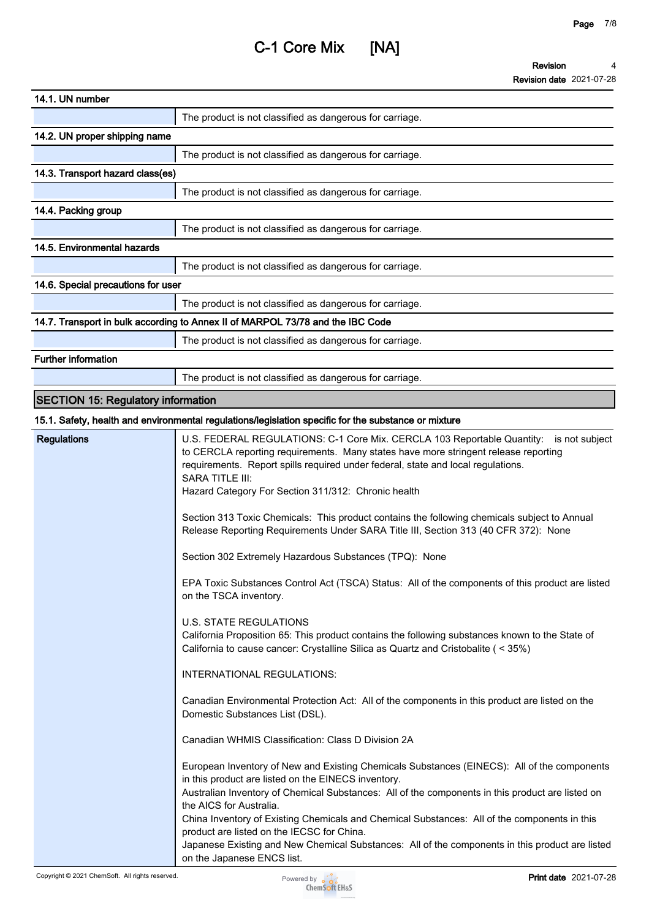| 14.1. UN number                           |                                                                                                                                                                                                                                                                                                                                                                                                                                                                                                                                                                                                                                                                                                                                                                                                                                                                                                                                                                                                                                                                                                                                                                                                                                                                                                                                                                                                                                                                                                                                                                          |
|-------------------------------------------|--------------------------------------------------------------------------------------------------------------------------------------------------------------------------------------------------------------------------------------------------------------------------------------------------------------------------------------------------------------------------------------------------------------------------------------------------------------------------------------------------------------------------------------------------------------------------------------------------------------------------------------------------------------------------------------------------------------------------------------------------------------------------------------------------------------------------------------------------------------------------------------------------------------------------------------------------------------------------------------------------------------------------------------------------------------------------------------------------------------------------------------------------------------------------------------------------------------------------------------------------------------------------------------------------------------------------------------------------------------------------------------------------------------------------------------------------------------------------------------------------------------------------------------------------------------------------|
|                                           | The product is not classified as dangerous for carriage.                                                                                                                                                                                                                                                                                                                                                                                                                                                                                                                                                                                                                                                                                                                                                                                                                                                                                                                                                                                                                                                                                                                                                                                                                                                                                                                                                                                                                                                                                                                 |
| 14.2. UN proper shipping name             |                                                                                                                                                                                                                                                                                                                                                                                                                                                                                                                                                                                                                                                                                                                                                                                                                                                                                                                                                                                                                                                                                                                                                                                                                                                                                                                                                                                                                                                                                                                                                                          |
|                                           | The product is not classified as dangerous for carriage.                                                                                                                                                                                                                                                                                                                                                                                                                                                                                                                                                                                                                                                                                                                                                                                                                                                                                                                                                                                                                                                                                                                                                                                                                                                                                                                                                                                                                                                                                                                 |
| 14.3. Transport hazard class(es)          |                                                                                                                                                                                                                                                                                                                                                                                                                                                                                                                                                                                                                                                                                                                                                                                                                                                                                                                                                                                                                                                                                                                                                                                                                                                                                                                                                                                                                                                                                                                                                                          |
|                                           | The product is not classified as dangerous for carriage.                                                                                                                                                                                                                                                                                                                                                                                                                                                                                                                                                                                                                                                                                                                                                                                                                                                                                                                                                                                                                                                                                                                                                                                                                                                                                                                                                                                                                                                                                                                 |
| 14.4. Packing group                       |                                                                                                                                                                                                                                                                                                                                                                                                                                                                                                                                                                                                                                                                                                                                                                                                                                                                                                                                                                                                                                                                                                                                                                                                                                                                                                                                                                                                                                                                                                                                                                          |
|                                           | The product is not classified as dangerous for carriage.                                                                                                                                                                                                                                                                                                                                                                                                                                                                                                                                                                                                                                                                                                                                                                                                                                                                                                                                                                                                                                                                                                                                                                                                                                                                                                                                                                                                                                                                                                                 |
| 14.5. Environmental hazards               |                                                                                                                                                                                                                                                                                                                                                                                                                                                                                                                                                                                                                                                                                                                                                                                                                                                                                                                                                                                                                                                                                                                                                                                                                                                                                                                                                                                                                                                                                                                                                                          |
|                                           | The product is not classified as dangerous for carriage.                                                                                                                                                                                                                                                                                                                                                                                                                                                                                                                                                                                                                                                                                                                                                                                                                                                                                                                                                                                                                                                                                                                                                                                                                                                                                                                                                                                                                                                                                                                 |
| 14.6. Special precautions for user        |                                                                                                                                                                                                                                                                                                                                                                                                                                                                                                                                                                                                                                                                                                                                                                                                                                                                                                                                                                                                                                                                                                                                                                                                                                                                                                                                                                                                                                                                                                                                                                          |
|                                           | The product is not classified as dangerous for carriage.                                                                                                                                                                                                                                                                                                                                                                                                                                                                                                                                                                                                                                                                                                                                                                                                                                                                                                                                                                                                                                                                                                                                                                                                                                                                                                                                                                                                                                                                                                                 |
|                                           | 14.7. Transport in bulk according to Annex II of MARPOL 73/78 and the IBC Code                                                                                                                                                                                                                                                                                                                                                                                                                                                                                                                                                                                                                                                                                                                                                                                                                                                                                                                                                                                                                                                                                                                                                                                                                                                                                                                                                                                                                                                                                           |
|                                           | The product is not classified as dangerous for carriage.                                                                                                                                                                                                                                                                                                                                                                                                                                                                                                                                                                                                                                                                                                                                                                                                                                                                                                                                                                                                                                                                                                                                                                                                                                                                                                                                                                                                                                                                                                                 |
| Further information                       |                                                                                                                                                                                                                                                                                                                                                                                                                                                                                                                                                                                                                                                                                                                                                                                                                                                                                                                                                                                                                                                                                                                                                                                                                                                                                                                                                                                                                                                                                                                                                                          |
|                                           | The product is not classified as dangerous for carriage.                                                                                                                                                                                                                                                                                                                                                                                                                                                                                                                                                                                                                                                                                                                                                                                                                                                                                                                                                                                                                                                                                                                                                                                                                                                                                                                                                                                                                                                                                                                 |
| <b>SECTION 15: Regulatory information</b> |                                                                                                                                                                                                                                                                                                                                                                                                                                                                                                                                                                                                                                                                                                                                                                                                                                                                                                                                                                                                                                                                                                                                                                                                                                                                                                                                                                                                                                                                                                                                                                          |
|                                           | 15.1. Safety, health and environmental regulations/legislation specific for the substance or mixture                                                                                                                                                                                                                                                                                                                                                                                                                                                                                                                                                                                                                                                                                                                                                                                                                                                                                                                                                                                                                                                                                                                                                                                                                                                                                                                                                                                                                                                                     |
| <b>Regulations</b>                        | U.S. FEDERAL REGULATIONS: C-1 Core Mix. CERCLA 103 Reportable Quantity: is not subject<br>to CERCLA reporting requirements. Many states have more stringent release reporting<br>requirements. Report spills required under federal, state and local regulations.<br><b>SARA TITLE III:</b><br>Hazard Category For Section 311/312: Chronic health<br>Section 313 Toxic Chemicals: This product contains the following chemicals subject to Annual<br>Release Reporting Requirements Under SARA Title III, Section 313 (40 CFR 372): None<br>Section 302 Extremely Hazardous Substances (TPQ): None<br>EPA Toxic Substances Control Act (TSCA) Status: All of the components of this product are listed<br>on the TSCA inventory.<br><b>U.S. STATE REGULATIONS</b><br>California Proposition 65: This product contains the following substances known to the State of<br>California to cause cancer: Crystalline Silica as Quartz and Cristobalite (< 35%)<br>INTERNATIONAL REGULATIONS:<br>Canadian Environmental Protection Act: All of the components in this product are listed on the<br>Domestic Substances List (DSL).<br>Canadian WHMIS Classification: Class D Division 2A<br>European Inventory of New and Existing Chemicals Substances (EINECS): All of the components<br>in this product are listed on the EINECS inventory.<br>Australian Inventory of Chemical Substances: All of the components in this product are listed on<br>the AICS for Australia.<br>China Inventory of Existing Chemicals and Chemical Substances: All of the components in this |